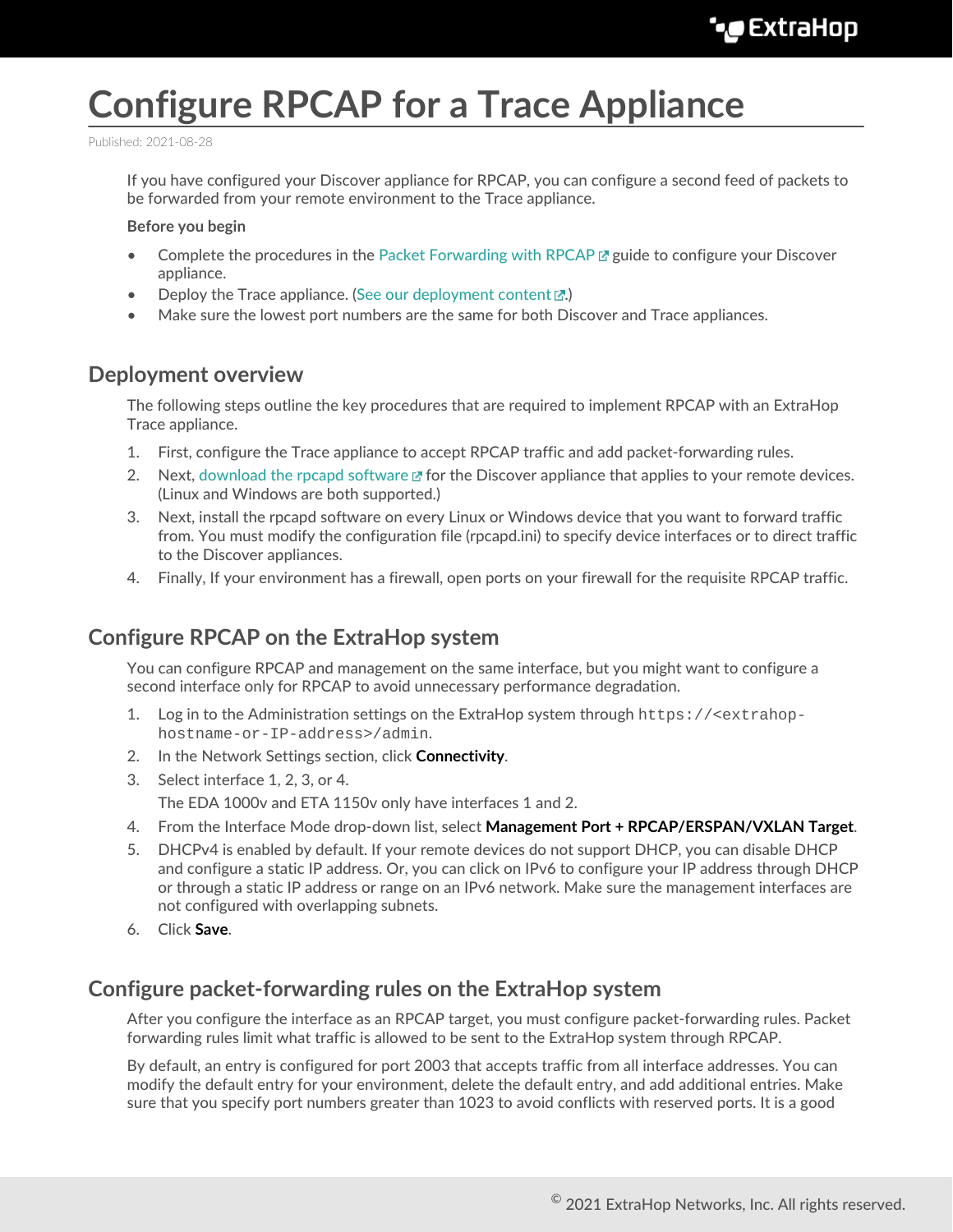# **Configure RPCAP for a Trace Appliance**

Published: 2021-08-28

If you have configured your Discover appliance for RPCAP, you can configure a second feed of packets to be forwarded from your remote environment to the Trace appliance.

**Before you begin**

- Complete the procedures in the [Packet Forwarding with RPCAP](https://docs.extrahop.com/8.4/rpcap)  $\mathbb F$  guide to configure your Discover appliance.
- Deploy the Trace appliance. (See our deployment content  $\mathbb{Z}$ .)
- Make sure the lowest port numbers are the same for both Discover and Trace appliances.

### **Deployment overview**

The following steps outline the key procedures that are required to implement RPCAP with an ExtraHop Trace appliance.

- 1. First, configure the Trace appliance to accept RPCAP traffic and add packet-forwarding rules.
- 2. Next, [download the rpcapd software](https://customers.extrahop.com/downloads/forwarders)  $\mathbb Z$  for the Discover appliance that applies to your remote devices. (Linux and Windows are both supported.)
- 3. Next, install the rpcapd software on every Linux or Windows device that you want to forward traffic from. You must modify the configuration file (rpcapd.ini) to specify device interfaces or to direct traffic to the Discover appliances.
- 4. Finally, If your environment has a firewall, open ports on your firewall for the requisite RPCAP traffic.

## **Configure RPCAP on the ExtraHop system**

You can configure RPCAP and management on the same interface, but you might want to configure a second interface only for RPCAP to avoid unnecessary performance degradation.

- 1. Log in to the Administration settings on the ExtraHop system through https://<extrahophostname-or-IP-address>/admin.
- 2. In the Network Settings section, click **Connectivity**.
- 3. Select interface 1, 2, 3, or 4.

The EDA 1000v and ETA 1150v only have interfaces 1 and 2.

- 4. From the Interface Mode drop-down list, select **Management Port + RPCAP/ERSPAN/VXLAN Target**.
- 5. DHCPv4 is enabled by default. If your remote devices do not support DHCP, you can disable DHCP and configure a static IP address. Or, you can click on IPv6 to configure your IP address through DHCP or through a static IP address or range on an IPv6 network. Make sure the management interfaces are not configured with overlapping subnets.
- 6. Click **Save**.

#### **Configure packet-forwarding rules on the ExtraHop system**

After you configure the interface as an RPCAP target, you must configure packet-forwarding rules. Packet forwarding rules limit what traffic is allowed to be sent to the ExtraHop system through RPCAP.

By default, an entry is configured for port 2003 that accepts traffic from all interface addresses. You can modify the default entry for your environment, delete the default entry, and add additional entries. Make sure that you specify port numbers greater than 1023 to avoid conflicts with reserved ports. It is a good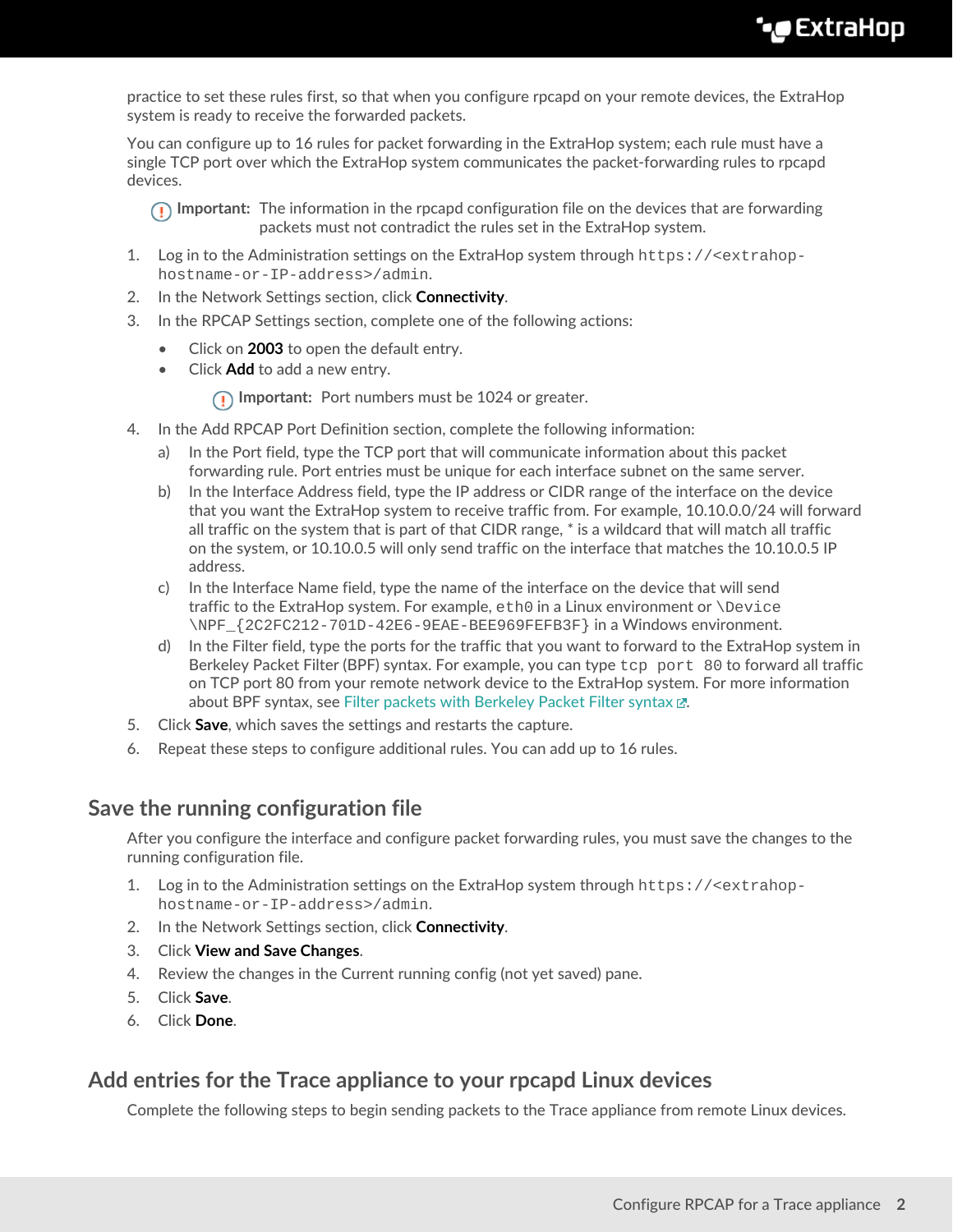practice to set these rules first, so that when you configure rpcapd on your remote devices, the ExtraHop system is ready to receive the forwarded packets.

You can configure up to 16 rules for packet forwarding in the ExtraHop system; each rule must have a single TCP port over which the ExtraHop system communicates the packet-forwarding rules to rpcapd devices.

**Important:** The information in the rpcapd configuration file on the devices that are forwarding packets must not contradict the rules set in the ExtraHop system.

- 1. Log in to the Administration settings on the ExtraHop system through https://<extrahophostname-or-IP-address>/admin.
- 2. In the Network Settings section, click **Connectivity**.
- 3. In the RPCAP Settings section, complete one of the following actions:
	- Click on **2003** to open the default entry.
	- Click **Add** to add a new entry.

**Important:** Port numbers must be 1024 or greater.

- 4. In the Add RPCAP Port Definition section, complete the following information:
	- a) In the Port field, type the TCP port that will communicate information about this packet forwarding rule. Port entries must be unique for each interface subnet on the same server.
	- b) In the Interface Address field, type the IP address or CIDR range of the interface on the device that you want the ExtraHop system to receive traffic from. For example, 10.10.0.0/24 will forward all traffic on the system that is part of that CIDR range, \* is a wildcard that will match all traffic on the system, or 10.10.0.5 will only send traffic on the interface that matches the 10.10.0.5 IP address.
	- c) In the Interface Name field, type the name of the interface on the device that will send traffic to the ExtraHop system. For example,  $e$ th0 in a Linux environment or  $\Delta e$ \NPF\_{2C2FC212-701D-42E6-9EAE-BEE969FEFB3F} in a Windows environment.
	- d) In the Filter field, type the ports for the traffic that you want to forward to the ExtraHop system in Berkeley Packet Filter (BPF) syntax. For example, you can type  $top$  port 80 to forward all traffic on TCP port 80 from your remote network device to the ExtraHop system. For more information about BPF syntax, see [Filter packets with Berkeley Packet Filter syntax](https://docs.extrahop.com/8.4/bpf-syntax) ...
- 5. Click **Save**, which saves the settings and restarts the capture.
- 6. Repeat these steps to configure additional rules. You can add up to 16 rules.

#### **Save the running configuration file**

After you configure the interface and configure packet forwarding rules, you must save the changes to the running configuration file.

- 1. Log in to the Administration settings on the ExtraHop system through https://<extrahophostname-or-IP-address>/admin.
- 2. In the Network Settings section, click **Connectivity**.
- 3. Click **View and Save Changes**.
- 4. Review the changes in the Current running config (not yet saved) pane.
- 5. Click **Save**.
- 6. Click **Done**.

#### **Add entries for the Trace appliance to your rpcapd Linux devices**

Complete the following steps to begin sending packets to the Trace appliance from remote Linux devices.